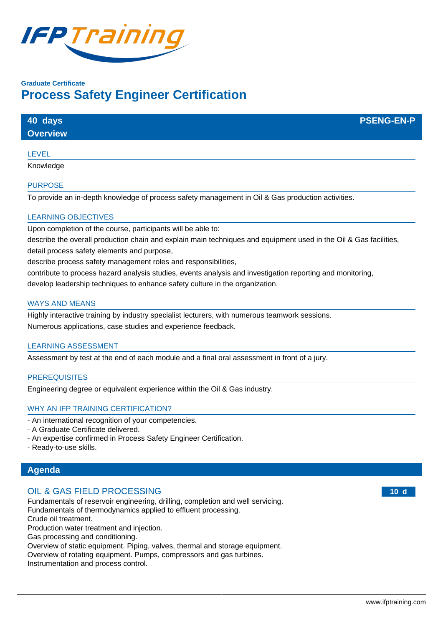

# **Graduate Certificate Process Safety Engineer Certification**

| 40 days         | <b>PSENG-EN-P</b> |
|-----------------|-------------------|
| <b>Overview</b> |                   |
|                 |                   |

# LEVEL

Knowledge

# PURPOSE

To provide an in-depth knowledge of process safety management in Oil & Gas production activities.

# LEARNING OBJECTIVES

Upon completion of the course, participants will be able to:

describe the overall production chain and explain main techniques and equipment used in the Oil & Gas facilities, detail process safety elements and purpose,

describe process safety management roles and responsibilities,

contribute to process hazard analysis studies, events analysis and investigation reporting and monitoring, develop leadership techniques to enhance safety culture in the organization.

### WAYS AND MEANS

Highly interactive training by industry specialist lecturers, with numerous teamwork sessions. Numerous applications, case studies and experience feedback.

# LEARNING ASSESSMENT

Assessment by test at the end of each module and a final oral assessment in front of a jury.

#### **PREREQUISITES**

Engineering degree or equivalent experience within the Oil & Gas industry.

# WHY AN IFP TRAINING CERTIFICATION?

- An international recognition of your competencies.
- A Graduate Certificate delivered.
- An expertise confirmed in Process Safety Engineer Certification.
- Ready-to-use skills.

# **Agenda**

# OIL & GAS FIELD PROCESSING

Fundamentals of reservoir engineering, drilling, completion and well servicing.

Fundamentals of thermodynamics applied to effluent processing.

Crude oil treatment.

Production water treatment and injection.

Gas processing and conditioning.

Overview of static equipment. Piping, valves, thermal and storage equipment.

Overview of rotating equipment. Pumps, compressors and gas turbines.

Instrumentation and process control.